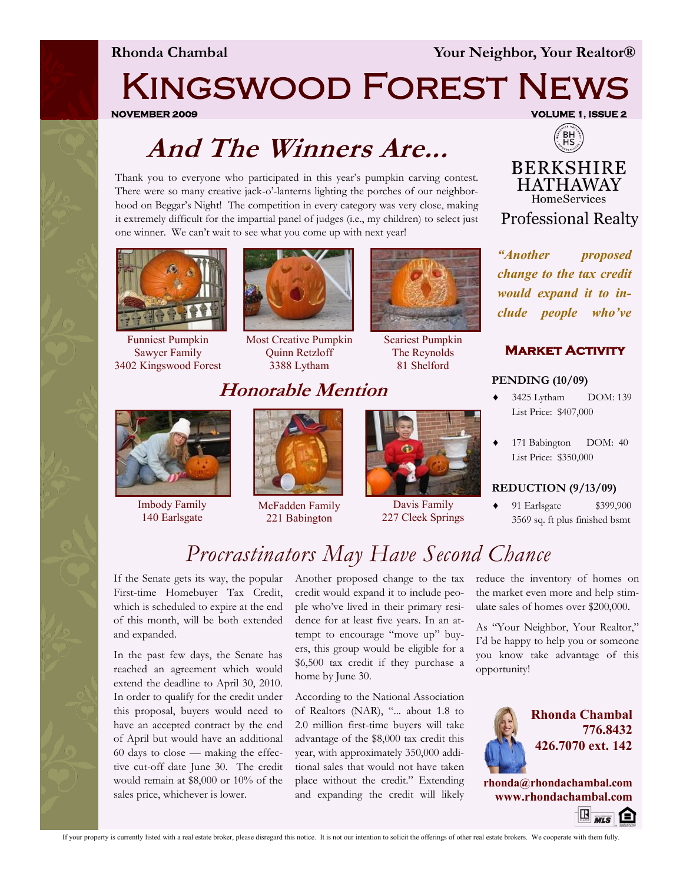**Rhonda Chambal Your Neighbor, Your Realtor®**

# Kingswood Forest News

**NOVEMBER 2009 VOLUME 1, ISSUE 2** 

## **And The Winners Are...**

Thank you to everyone who participated in this year's pumpkin carving contest. There were so many creative jack-o'-lanterns lighting the porches of our neighborhood on Beggar's Night! The competition in every category was very close, making it extremely difficult for the impartial panel of judges (i.e., my children) to select just one winner. We can't wait to see what you come up with next year!



Funniest Pumpkin Sawyer Family 3402 Kingswood Forest



Most Creative Pumpkin Quinn Retzloff 3388 Lytham

### **Honorable Mention**



Scariest Pumpkin The Reynolds 81 Shelford

**Professional Realty** *"Another proposed change to the tax credit would expand it to in-*

 $BH$ 

**BERKSHIRE HATHAWAY** HomeServices

#### **Market Activity**

*clude people who've* 

#### **PENDING (10/09)**



Imbody Family 140 Earlsgate



McFadden Family 221 Babington



Davis Family 227 Cleek Springs

 3425 Lytham DOM: 139 List Price: \$407,000

 $\bullet$  171 Babington DOM: 40 List Price: \$350,000

#### **REDUCTION (9/13/09)**

◆ 91 Earlsgate \$399,900 3569 sq. ft plus finished bsmt

### *Procrastinators May Have Second Chance*

If the Senate gets its way, the popular First-time Homebuyer Tax Credit, which is scheduled to expire at the end of this month, will be both extended and expanded.

In the past few days, the Senate has reached an agreement which would extend the deadline to April 30, 2010. In order to qualify for the credit under this proposal, buyers would need to have an accepted contract by the end of April but would have an additional 60 days to close — making the effective cut-off date June 30. The credit would remain at \$8,000 or 10% of the sales price, whichever is lower.

Another proposed change to the tax credit would expand it to include people who've lived in their primary residence for at least five years. In an attempt to encourage "move up" buyers, this group would be eligible for a \$6,500 tax credit if they purchase a home by June 30.

According to the National Association of Realtors (NAR), "... about 1.8 to 2.0 million first-time buyers will take advantage of the \$8,000 tax credit this year, with approximately 350,000 additional sales that would not have taken place without the credit." Extending and expanding the credit will likely reduce the inventory of homes on the market even more and help stimulate sales of homes over \$200,000.

As "Your Neighbor, Your Realtor," I'd be happy to help you or someone you know take advantage of this opportunity!



**Rhonda Chambal 776.8432 426.7070 ext. 142**

**rhonda@rhondachambal.com www.rhondachambal.com**  $\mathbb{E}_{\overline{\mu}/\overline{s}}$   $\bigoplus$